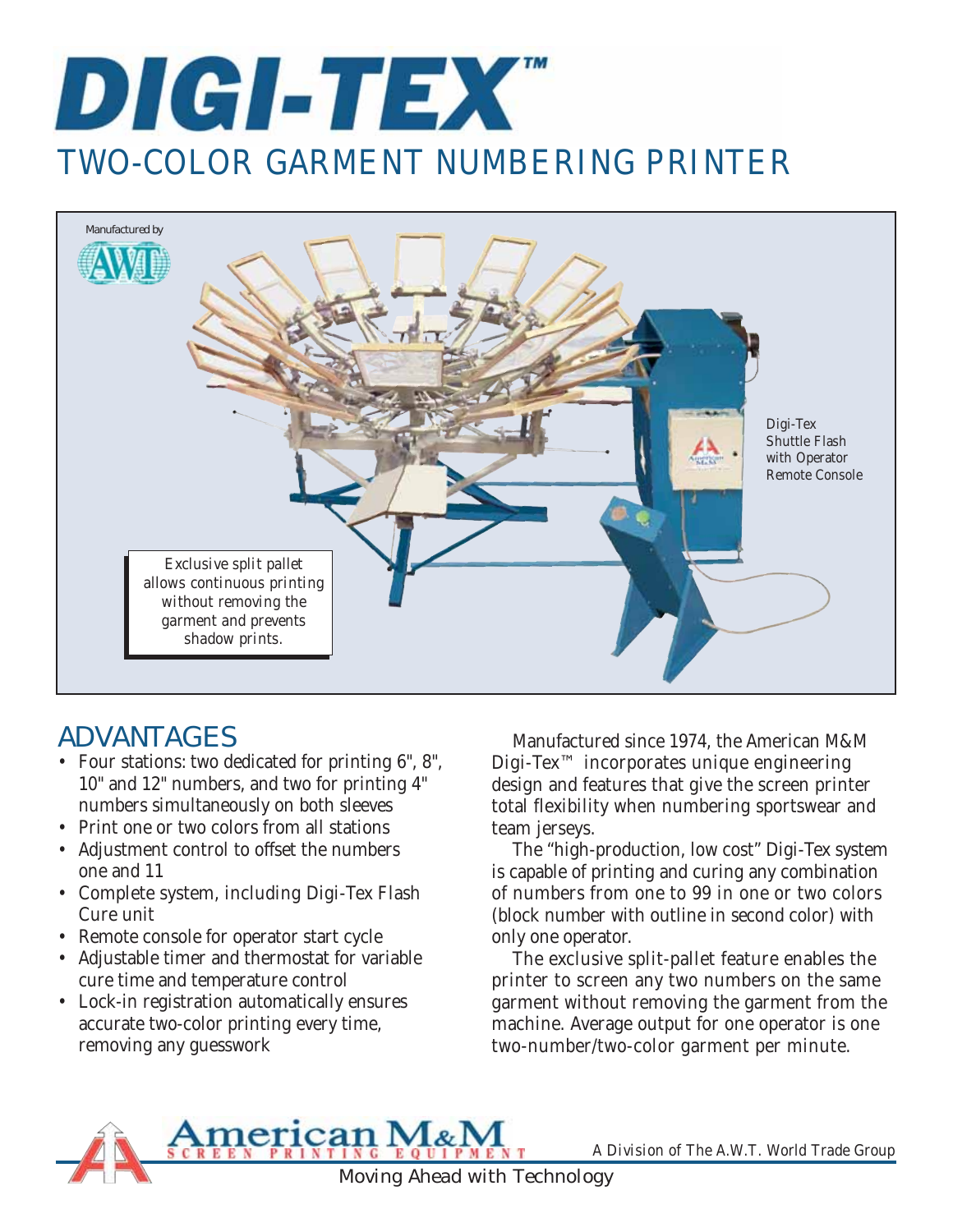



# ADVANTAGES

- Four stations: two dedicated for printing 6", 8", 10" and 12" numbers, and two for printing 4" numbers simultaneously on both sleeves
- Print one or two colors from all stations
- Adjustment control to offset the numbers one and 11
- Complete system, including Digi-Tex Flash Cure unit
- Remote console for operator start cycle
- Adjustable timer and thermostat for variable cure time and temperature control
- Lock-in registration automatically ensures accurate two-color printing every time, removing any guesswork

Manufactured since 1974, the American M&M Digi-Tex™ incorporates unique engineering design and features that give the screen printer total flexibility when numbering sportswear and team jerseys.

The "high-production, low cost" Digi-Tex system is capable of printing and curing any combination of numbers from one to 99 in one or two colors (block number with outline in second color) with only one operator.

The exclusive split-pallet feature enables the printer to screen any two numbers on the same garment without removing the garment from the machine. Average output for one operator is one two-number/two-color garment per minute.